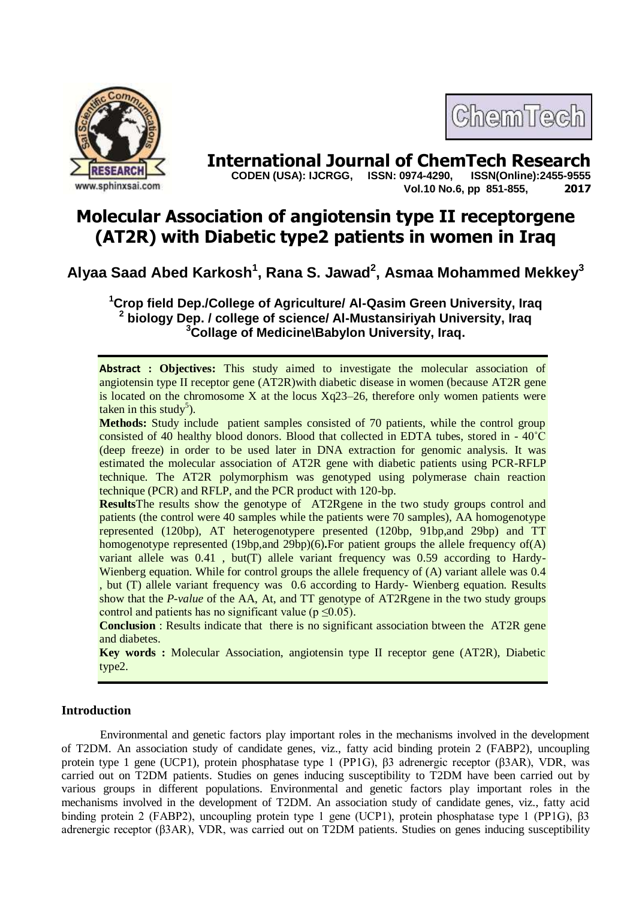

# **International Journal of ChemTech Research <br>CODEN (USA): IJCRGG. ISSN: 0974-4290. ISSN(Online):2455-9555**

 **CODEN (USA): IJCRGG, ISSN: 0974-4290, Vol.10 No.6, pp 851-855, 2017**

ChemTech

# **Molecular Association of angiotensin type II receptorgene (AT2R) with Diabetic type2 patients in women in Iraq**

# **Alyaa Saad Abed Karkosh<sup>1</sup> , Rana S. Jawad<sup>2</sup> , Asmaa Mohammed Mekkey<sup>3</sup>**

**<sup>1</sup>Crop field Dep./College of Agriculture/ Al-Qasim Green University, Iraq 2 biology Dep. / college of science/ Al-Mustansiriyah University, Iraq <sup>3</sup>Collage of Medicine\Babylon University, Iraq.**

**Abstract : Objectives:** This study aimed to investigate the molecular association of angiotensin type II receptor gene (AT2R)with diabetic disease in women (because AT2R gene is located on the chromosome X at the locus  $Xq23-26$ , therefore only women patients were taken in this study<sup>5</sup>).

**Methods:** Study include patient samples consisted of 70 patients, while the control group consisted of 40 healthy blood donors. Blood that collected in EDTA tubes, stored in - 40˚C (deep freeze) in order to be used later in DNA extraction for genomic analysis. It was estimated the molecular association of AT2R gene with diabetic patients using PCR-RFLP technique. The AT2R polymorphism was genotyped using polymerase chain reaction technique (PCR) and RFLP, and the PCR product with 120-bp.

**Results**The results show the genotype of AT2Rgene in the two study groups control and patients (the control were 40 samples while the patients were 70 samples), AA homogenotype represented (120bp), AT heterogenotypere presented (120bp, 91bp,and 29bp) and TT homogenotype represented (19bp,and 29bp)(6)**.**For patient groups the allele frequency of(A) variant allele was 0.41 , but(T) allele variant frequency was 0.59 according to Hardy-Wienberg equation. While for control groups the allele frequency of (A) variant allele was 0.4 , but (T) allele variant frequency was 0.6 according to Hardy- Wienberg equation. Results show that the *P-value* of the AA, At, and TT genotype of AT2Rgene in the two study groups control and patients has no significant value ( $p \le 0.05$ ).

**Conclusion** : Results indicate that there is no significant association btween the AT2R gene and diabetes.

**Key words :** Molecular Association, angiotensin type II receptor gene (AT2R), Diabetic type2.

# **Introduction**

Environmental and genetic factors play important roles in the mechanisms involved in the development of T2DM. An association study of candidate genes, viz., fatty acid binding protein 2 (FABP2), uncoupling protein type 1 gene (UCP1), protein phosphatase type 1 (PP1G), β3 adrenergic receptor (β3AR), VDR, was carried out on T2DM patients. Studies on genes inducing susceptibility to T2DM have been carried out by various groups in different populations. Environmental and genetic factors play important roles in the mechanisms involved in the development of T2DM. An association study of candidate genes, viz., fatty acid binding protein 2 (FABP2), uncoupling protein type 1 gene (UCP1), protein phosphatase type 1 (PP1G), β3 adrenergic receptor (β3AR), VDR, was carried out on T2DM patients. Studies on genes inducing susceptibility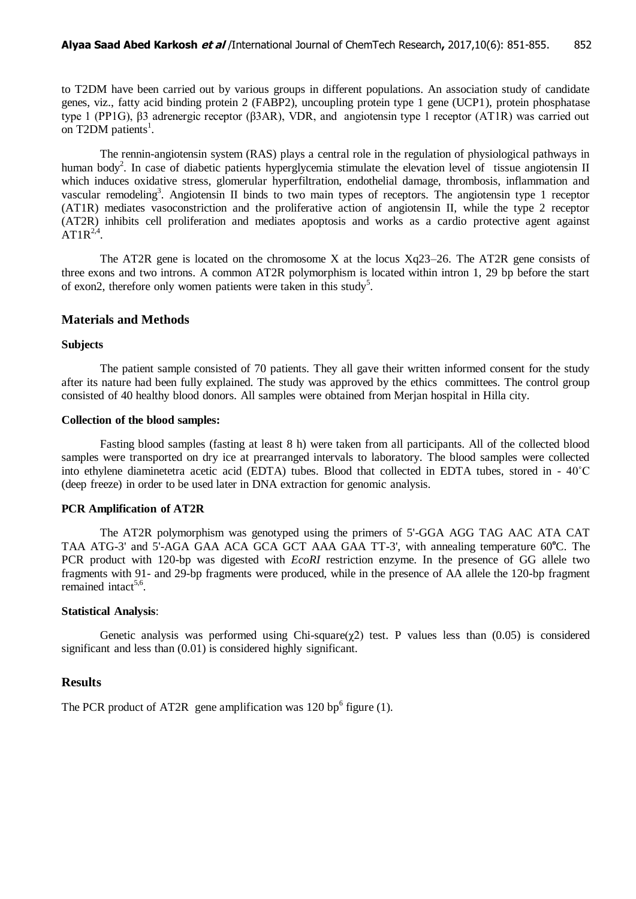to T2DM have been carried out by various groups in different populations. An association study of candidate genes, viz., fatty acid binding protein 2 (FABP2), uncoupling protein type 1 gene (UCP1), protein phosphatase type 1 (PP1G), β3 adrenergic receptor (β3AR), VDR, and angiotensin type 1 receptor (AT1R) was carried out on T2DM patients<sup>1</sup>.

The rennin-angiotensin system (RAS) plays a central role in the regulation of physiological pathways in human body<sup>2</sup>. In case of diabetic patients hyperglycemia stimulate the elevation level of tissue angiotensin II which induces oxidative stress, glomerular hyperfiltration, endothelial damage, thrombosis, inflammation and vascular remodeling<sup>3</sup>. Angiotensin II binds to two main types of receptors. The angiotensin type 1 receptor (AT1R) mediates vasoconstriction and the proliferative action of angiotensin II, while the type 2 receptor (AT2R) inhibits cell proliferation and mediates apoptosis and works as a cardio protective agent against  $AT1R^{2,4}$ .

The AT2R gene is located on the chromosome X at the locus Xq23–26. The AT2R gene consists of three exons and two introns. A common AT2R polymorphism is located within intron 1, 29 bp before the start of exon2, therefore only women patients were taken in this study<sup>5</sup>.

#### **Materials and Methods**

#### **Subjects**

The patient sample consisted of 70 patients. They all gave their written informed consent for the study after its nature had been fully explained. The study was approved by the ethics committees. The control group consisted of 40 healthy blood donors. All samples were obtained from Merjan hospital in Hilla city.

#### **Collection of the blood samples:**

Fasting blood samples (fasting at least 8 h) were taken from all participants. All of the collected blood samples were transported on dry ice at prearranged intervals to laboratory. The blood samples were collected into ethylene diaminetetra acetic acid (EDTA) tubes. Blood that collected in EDTA tubes, stored in - 40˚C (deep freeze) in order to be used later in DNA extraction for genomic analysis.

## **PCR Amplification of AT2R**

The AT2R polymorphism was genotyped using the primers of 5'-GGA AGG TAG AAC ATA CAT TAA ATG-3' and 5'-AGA GAA ACA GCA GCT AAA GAA TT-3', with annealing temperature 60<sup>o</sup>C. The PCR product with 120-bp was digested with *EcoRI* restriction enzyme. In the presence of GG allele two fragments with 91- and 29-bp fragments were produced, while in the presence of AA allele the 120-bp fragment remained intact<sup>5,6</sup>.

#### **Statistical Analysis**:

Genetic analysis was performed using Chi-square( $\chi$ 2) test. P values less than (0.05) is considered significant and less than  $(0.01)$  is considered highly significant.

## **Results**

The PCR product of AT2R gene amplification was 120 bp<sup>6</sup> figure (1).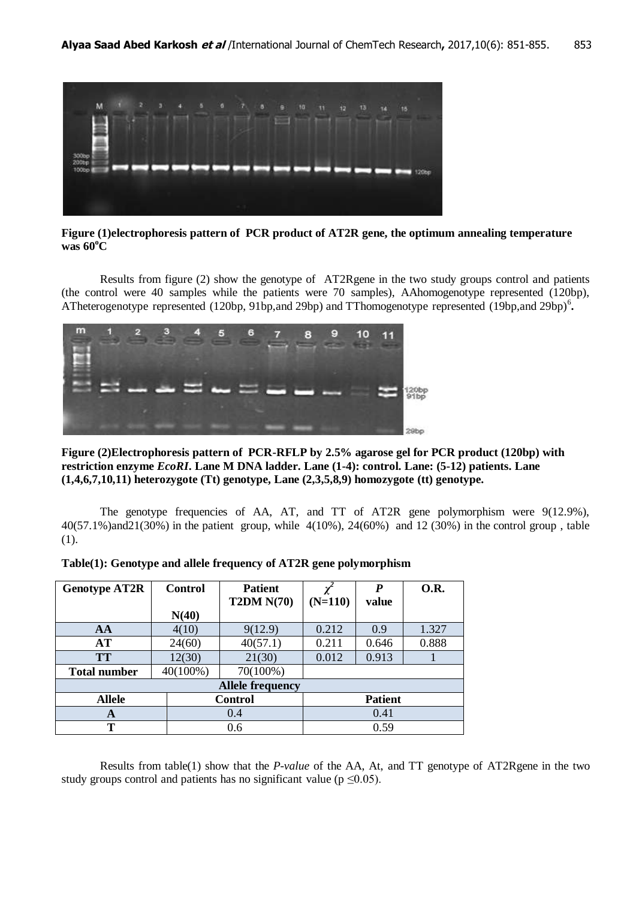

**Figure (1)electrophoresis pattern of PCR product of AT2R gene, the optimum annealing temperature was 60<sup>o</sup>C**

Results from figure (2) show the genotype of AT2Rgene in the two study groups control and patients (the control were 40 samples while the patients were 70 samples), AAhomogenotype represented (120bp), ATheterogenotype represented (120bp, 91bp,and 29bp) and TThomogenotype represented (19bp,and 29bp)<sup>6</sup>.



**Figure (2)Electrophoresis pattern of PCR-RFLP by 2.5% agarose gel for PCR product (120bp) with restriction enzyme** *EcoRI***. Lane M DNA ladder. Lane (1-4): control. Lane: (5-12) patients. Lane (1,4,6,7,10,11) heterozygote (Tt) genotype, Lane (2,3,5,8,9) homozygote (tt) genotype.**

The genotype frequencies of AA, AT, and TT of AT2R gene polymorphism were 9(12.9%), 40(57.1%)and21(30%) in the patient group, while 4(10%), 24(60%) and 12 (30%) in the control group , table (1).

| <b>Genotype AT2R</b>    | Control  | <b>Patient</b>    |           | P              | <b>O.R.</b> |  |  |  |  |  |
|-------------------------|----------|-------------------|-----------|----------------|-------------|--|--|--|--|--|
|                         |          | <b>T2DM N(70)</b> | $(N=110)$ | value          |             |  |  |  |  |  |
|                         | N(40)    |                   |           |                |             |  |  |  |  |  |
| AA                      | 4(10)    | 9(12.9)           | 0.212     | 0.9            | 1.327       |  |  |  |  |  |
| AT                      | 24(60)   | 40(57.1)          | 0.211     | 0.646          | 0.888       |  |  |  |  |  |
| <b>TT</b>               | 12(30)   | 21(30)            | 0.012     | 0.913          |             |  |  |  |  |  |
| <b>Total number</b>     | 40(100%) | 70(100%)          |           |                |             |  |  |  |  |  |
| <b>Allele frequency</b> |          |                   |           |                |             |  |  |  |  |  |
| <b>Allele</b>           |          | <b>Control</b>    |           | <b>Patient</b> |             |  |  |  |  |  |
| A                       |          | 0.4               |           | 0.41           |             |  |  |  |  |  |
| Т                       |          | 0.6               |           | 0.59           |             |  |  |  |  |  |

| Table(1): Genotype and allele frequency of AT2R gene polymorphism |  |  |  |
|-------------------------------------------------------------------|--|--|--|
|                                                                   |  |  |  |

Results from table(1) show that the *P-value* of the AA, At, and TT genotype of AT2Rgene in the two study groups control and patients has no significant value ( $p \le 0.05$ ).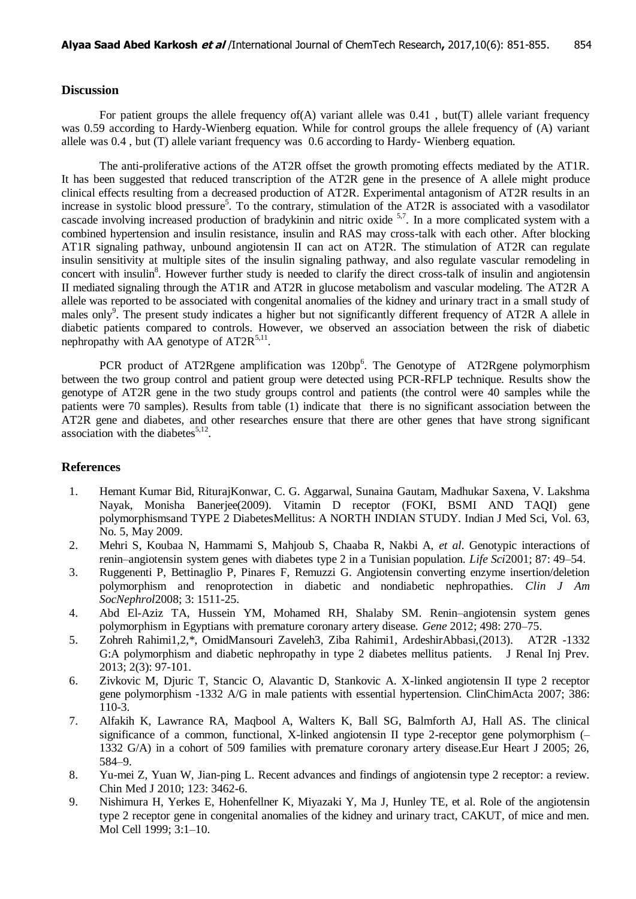# **Discussion**

For patient groups the allele frequency of  $(A)$  variant allele was 0.41, but(T) allele variant frequency was 0.59 according to Hardy-Wienberg equation. While for control groups the allele frequency of (A) variant allele was 0.4 , but (T) allele variant frequency was 0.6 according to Hardy- Wienberg equation.

The anti-proliferative actions of the AT2R offset the growth promoting effects mediated by the AT1R. It has been suggested that reduced transcription of the AT2R gene in the presence of A allele might produce clinical effects resulting from a decreased production of AT2R. Experimental antagonism of AT2R results in an increase in systolic blood pressure<sup>5</sup>. To the contrary, stimulation of the AT2R is associated with a vasodilator cascade involving increased production of bradykinin and nitric oxide <sup>5,7</sup>. In a more complicated system with a combined hypertension and insulin resistance, insulin and RAS may cross-talk with each other. After blocking AT1R signaling pathway, unbound angiotensin II can act on AT2R. The stimulation of AT2R can regulate insulin sensitivity at multiple sites of the insulin signaling pathway, and also regulate vascular remodeling in concert with insulin<sup>8</sup>. However further study is needed to clarify the direct cross-talk of insulin and angiotensin II mediated signaling through the AT1R and AT2R in glucose metabolism and vascular modeling. The AT2R A allele was reported to be associated with congenital anomalies of the kidney and urinary tract in a small study of males only<sup>9</sup>. The present study indicates a higher but not significantly different frequency of AT2R A allele in diabetic patients compared to controls. However, we observed an association between the risk of diabetic nephropathy with AA genotype of  $AT2R^{5,11}$ .

PCR product of AT2Rgene amplification was  $120bp^6$ . The Genotype of AT2Rgene polymorphism between the two group control and patient group were detected using PCR-RFLP technique. Results show the genotype of AT2R gene in the two study groups control and patients (the control were 40 samples while the patients were 70 samples). Results from table (1) indicate that there is no significant association between the AT2R gene and diabetes, and other researches ensure that there are other genes that have strong significant association with the diabetes $5,12$ .

## **References**

- 1. Hemant Kumar Bid, RiturajKonwar, C. G. Aggarwal, Sunaina Gautam, Madhukar Saxena, V. Lakshma Nayak, Monisha Banerjee(2009). Vitamin D receptor (FOKI, BSMI AND TAQI) gene polymorphismsand TYPE 2 DiabetesMellitus: A NORTH INDIAN STUDY. Indian J Med Sci, Vol. 63, No. 5, May 2009.
- 2. Mehri S, Koubaa N, Hammami S, Mahjoub S, Chaaba R, Nakbi A, *et al*. Genotypic interactions of renin–angiotensin system genes with diabetes type 2 in a Tunisian population. *Life Sci*2001; 87: 49–54.
- 3. Ruggenenti P, Bettinaglio P, Pinares F, Remuzzi G. Angiotensin converting enzyme insertion/deletion polymorphism and renoprotection in diabetic and nondiabetic nephropathies. *Clin J Am SocNephrol*2008; 3: 1511-25.
- 4. Abd El-Aziz TA, Hussein YM, Mohamed RH, Shalaby SM. Renin–angiotensin system genes polymorphism in Egyptians with premature coronary artery disease. *Gene* 2012; 498: 270–75.
- 5. Zohreh Rahimi1,2,\*, OmidMansouri Zaveleh3, Ziba Rahimi1, ArdeshirAbbasi,(2013). AT2R -1332 G:A polymorphism and diabetic nephropathy in type 2 diabetes mellitus patients. J Renal Inj Prev. 2013; 2(3): 97-101.
- 6. Zivkovic M, Djuric T, Stancic O, Alavantic D, Stankovic A. X-linked angiotensin II type 2 receptor gene polymorphism -1332 A/G in male patients with essential hypertension. ClinChimActa 2007; 386: 110-3.
- 7. Alfakih K, Lawrance RA, Maqbool A, Walters K, Ball SG, Balmforth AJ, Hall AS. The clinical significance of a common, functional, X-linked angiotensin II type 2-receptor gene polymorphism (– 1332 G/A) in a cohort of 509 families with premature coronary artery disease.Eur Heart J 2005; 26, 584–9.
- 8. Yu-mei Z, Yuan W, Jian-ping L. Recent advances and findings of angiotensin type 2 receptor: a review. Chin Med J 2010; 123: 3462-6.
- 9. Nishimura H, Yerkes E, Hohenfellner K, Miyazaki Y, Ma J, Hunley TE, et al. Role of the angiotensin type 2 receptor gene in congenital anomalies of the kidney and urinary tract, CAKUT, of mice and men. Mol Cell 1999; 3:1–10.